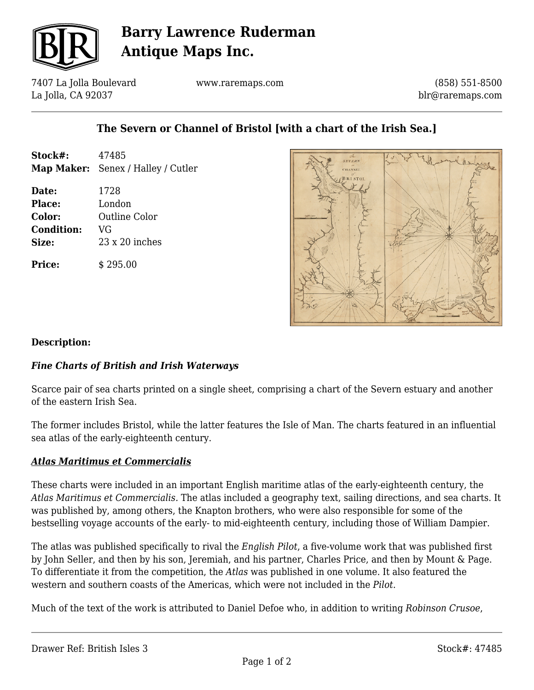

# **Barry Lawrence Ruderman Antique Maps Inc.**

7407 La Jolla Boulevard La Jolla, CA 92037

www.raremaps.com

(858) 551-8500 blr@raremaps.com

### **The Severn or Channel of Bristol [with a chart of the Irish Sea.]**

| Stock#:           | 47485                              |
|-------------------|------------------------------------|
|                   | Map Maker: Senex / Halley / Cutler |
| Date:             | 1728                               |
| Place:            | London                             |
| Color:            | Outline Color                      |
| <b>Condition:</b> | VG                                 |
| Size:             | $23 \times 20$ inches              |
| <b>Price:</b>     | \$295.00                           |



#### **Description:**

#### *Fine Charts of British and Irish Waterways*

Scarce pair of sea charts printed on a single sheet, comprising a chart of the Severn estuary and another of the eastern Irish Sea.

The former includes Bristol, while the latter features the Isle of Man. The charts featured in an influential sea atlas of the early-eighteenth century.

#### *Atlas Maritimus et Commercialis*

These charts were included in an important English maritime atlas of the early-eighteenth century, the *Atlas Maritimus et Commercialis.* The atlas included a geography text, sailing directions, and sea charts. It was published by, among others, the Knapton brothers, who were also responsible for some of the bestselling voyage accounts of the early- to mid-eighteenth century, including those of William Dampier.

The atlas was published specifically to rival the *English Pilot*, a five-volume work that was published first by John Seller, and then by his son, Jeremiah, and his partner, Charles Price, and then by Mount & Page. To differentiate it from the competition, the *Atlas* was published in one volume. It also featured the western and southern coasts of the Americas, which were not included in the *Pilot*.

Much of the text of the work is attributed to Daniel Defoe who, in addition to writing *Robinson Crusoe*,